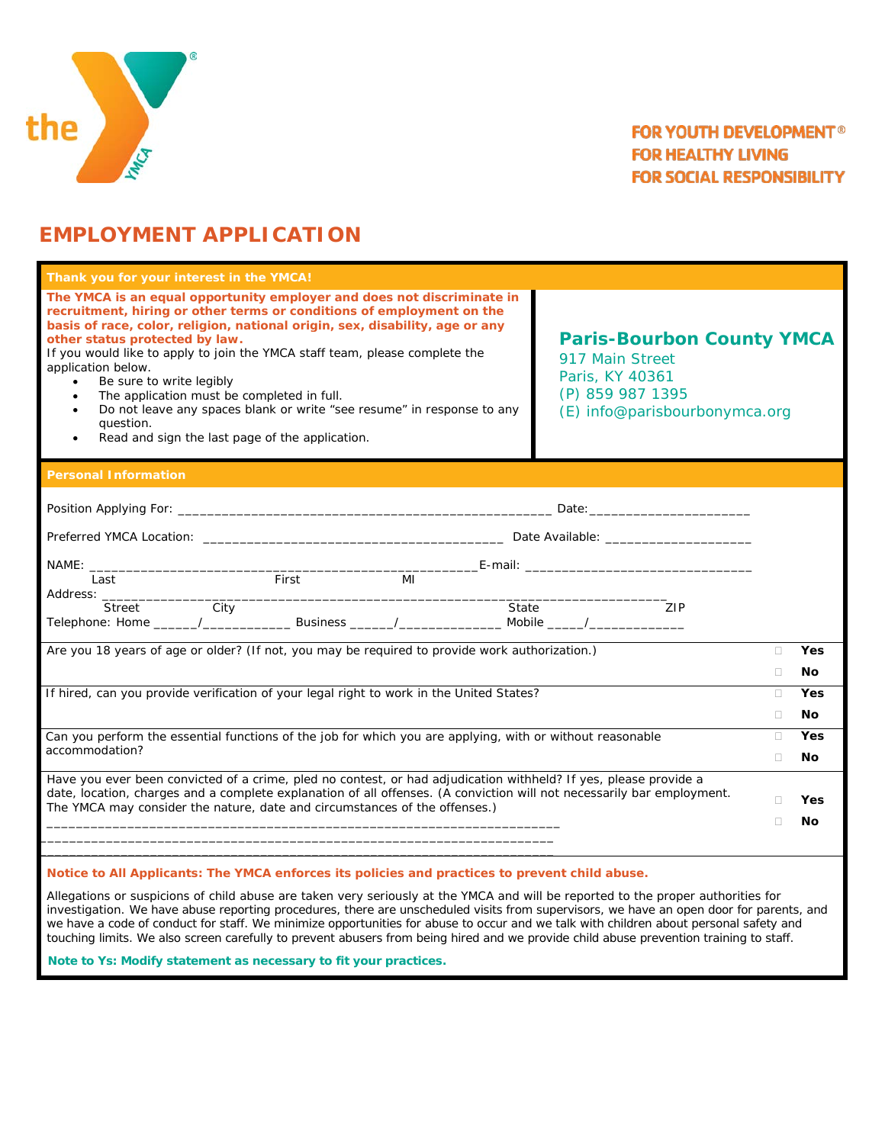

# **EMPLOYMENT APPLICATION**

| Thank you for your interest in the YMCA!                                                                                                                                                                                                                                                                                                                                                                                                                                                                                                                                                                             |                                                                                                                             |    |           |  |
|----------------------------------------------------------------------------------------------------------------------------------------------------------------------------------------------------------------------------------------------------------------------------------------------------------------------------------------------------------------------------------------------------------------------------------------------------------------------------------------------------------------------------------------------------------------------------------------------------------------------|-----------------------------------------------------------------------------------------------------------------------------|----|-----------|--|
| The YMCA is an equal opportunity employer and does not discriminate in<br>recruitment, hiring or other terms or conditions of employment on the<br>basis of race, color, religion, national origin, sex, disability, age or any<br>other status protected by law.<br>If you would like to apply to join the YMCA staff team, please complete the<br>application below.<br>Be sure to write legibly<br>$\bullet$<br>The application must be completed in full.<br>$\bullet$<br>Do not leave any spaces blank or write "see resume" in response to any<br>question.<br>Read and sign the last page of the application. | <b>Paris-Bourbon County YMCA</b><br>917 Main Street<br>Paris, KY 40361<br>(P) 859 987 1395<br>(E) info@parisbourbonymca.org |    |           |  |
| <b>Personal Information</b>                                                                                                                                                                                                                                                                                                                                                                                                                                                                                                                                                                                          |                                                                                                                             |    |           |  |
|                                                                                                                                                                                                                                                                                                                                                                                                                                                                                                                                                                                                                      |                                                                                                                             |    |           |  |
|                                                                                                                                                                                                                                                                                                                                                                                                                                                                                                                                                                                                                      |                                                                                                                             |    |           |  |
| First<br>Last<br>MI                                                                                                                                                                                                                                                                                                                                                                                                                                                                                                                                                                                                  |                                                                                                                             |    |           |  |
| Address: <u>Street City</u><br>State<br>Telephone: Home ______/___________________Business _______/____________________Mobile _____/__________________                                                                                                                                                                                                                                                                                                                                                                                                                                                               | ZIP                                                                                                                         |    |           |  |
| Are you 18 years of age or older? (If not, you may be required to provide work authorization.)                                                                                                                                                                                                                                                                                                                                                                                                                                                                                                                       |                                                                                                                             |    |           |  |
|                                                                                                                                                                                                                                                                                                                                                                                                                                                                                                                                                                                                                      |                                                                                                                             |    |           |  |
| If hired, can you provide verification of your legal right to work in the United States?                                                                                                                                                                                                                                                                                                                                                                                                                                                                                                                             |                                                                                                                             | Ω  | Yes       |  |
|                                                                                                                                                                                                                                                                                                                                                                                                                                                                                                                                                                                                                      |                                                                                                                             | П. | No        |  |
| Can you perform the essential functions of the job for which you are applying, with or without reasonable<br>accommodation?                                                                                                                                                                                                                                                                                                                                                                                                                                                                                          |                                                                                                                             | П  | Yes       |  |
|                                                                                                                                                                                                                                                                                                                                                                                                                                                                                                                                                                                                                      |                                                                                                                             | П  | <b>No</b> |  |
| Have you ever been convicted of a crime, pled no contest, or had adjudication withheld? If yes, please provide a<br>date, location, charges and a complete explanation of all offenses. (A conviction will not necessarily bar employment.                                                                                                                                                                                                                                                                                                                                                                           |                                                                                                                             | П. | Yes       |  |
| The YMCA may consider the nature, date and circumstances of the offenses.)                                                                                                                                                                                                                                                                                                                                                                                                                                                                                                                                           |                                                                                                                             | П  | Νo        |  |
|                                                                                                                                                                                                                                                                                                                                                                                                                                                                                                                                                                                                                      |                                                                                                                             |    |           |  |
| Notice to All Applicants: The YMCA enforces its policies and practices to prevent child abuse.                                                                                                                                                                                                                                                                                                                                                                                                                                                                                                                       |                                                                                                                             |    |           |  |

Allegations or suspicions of child abuse are taken very seriously at the YMCA and will be reported to the proper authorities for investigation. We have abuse reporting procedures, there are unscheduled visits from supervisors, we have an open door for parents, and we have a code of conduct for staff. We minimize opportunities for abuse to occur and we talk with children about personal safety and touching limits. We also screen carefully to prevent abusers from being hired and we provide child abuse prevention training to staff.

 **Note to Ys: Modify statement as necessary to fit your practices.**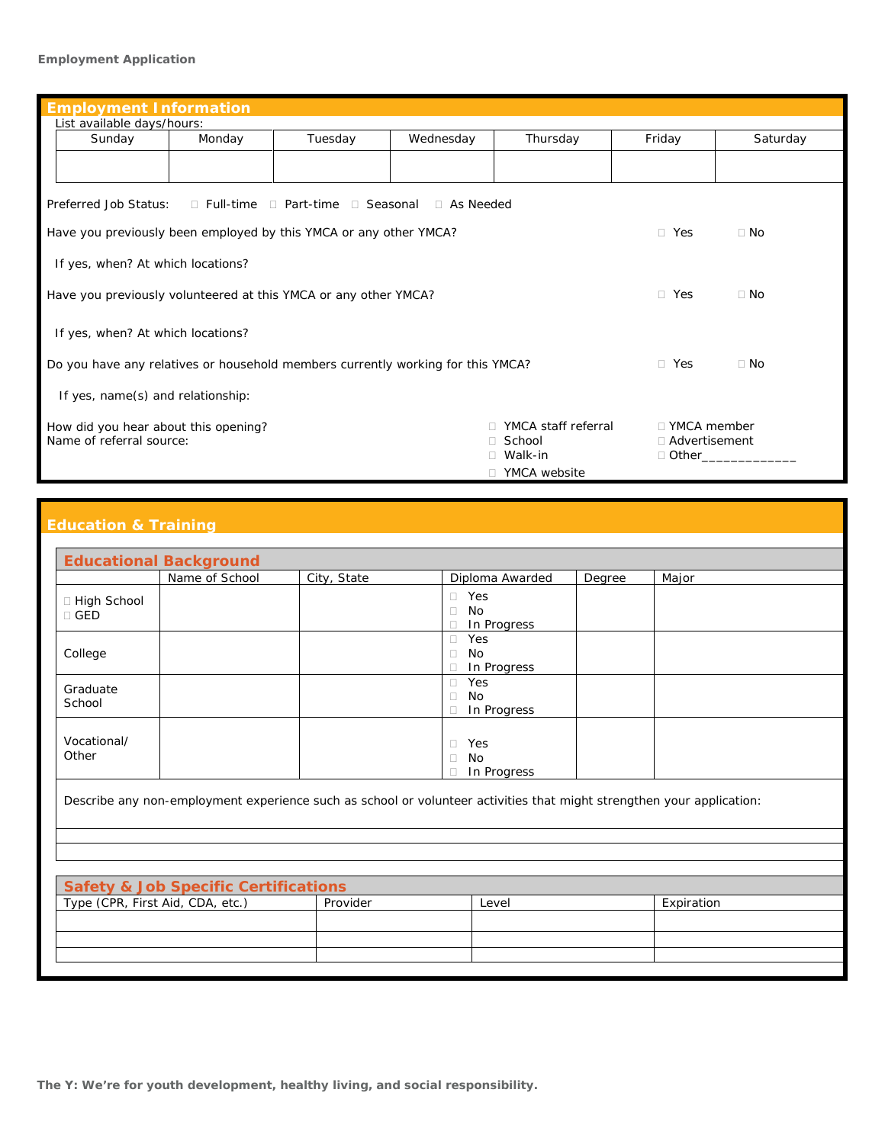### **Employment Application**

| <b>Employment Information</b>                                                                                                                |        |         |           |          |            |           |  |
|----------------------------------------------------------------------------------------------------------------------------------------------|--------|---------|-----------|----------|------------|-----------|--|
| List available days/hours:                                                                                                                   |        |         |           |          |            |           |  |
| Sunday                                                                                                                                       | Monday | Tuesday | Wednesday | Thursday | Friday     | Saturday  |  |
|                                                                                                                                              |        |         |           |          |            |           |  |
| Preferred Job Status:<br>$\Box$ Full-time $\Box$ Part-time $\Box$ Seasonal $\Box$ As Needed                                                  |        |         |           |          |            |           |  |
| Have you previously been employed by this YMCA or any other YMCA?                                                                            |        |         |           |          | $\Box$ Yes | $\Box$ No |  |
| If yes, when? At which locations?                                                                                                            |        |         |           |          |            |           |  |
| Have you previously volunteered at this YMCA or any other YMCA?<br>$\Box$ Yes<br>$\Box$ No                                                   |        |         |           |          |            |           |  |
| If yes, when? At which locations?                                                                                                            |        |         |           |          |            |           |  |
| $\Box$ Yes<br>$\Box$ No<br>Do you have any relatives or household members currently working for this YMCA?                                   |        |         |           |          |            |           |  |
| If yes, name(s) and relationship:                                                                                                            |        |         |           |          |            |           |  |
| YMCA staff referral<br>$\Box$ YMCA member<br>How did you hear about this opening?<br>Name of referral source:<br>□ School<br>□ Advertisement |        |         |           |          |            |           |  |
| $\Box$ Walk-in<br>□ Other                                                                                                                    |        |         |           |          |            |           |  |
| □ YMCA website                                                                                                                               |        |         |           |          |            |           |  |

## **Education & Training**

| <b>Educational Background</b>                                                                                         |                |             |                                           |               |       |  |
|-----------------------------------------------------------------------------------------------------------------------|----------------|-------------|-------------------------------------------|---------------|-------|--|
|                                                                                                                       | Name of School | City, State | Diploma Awarded                           | <b>Degree</b> | Major |  |
| □ High School<br>$\Box$ GED                                                                                           |                |             | $\Box$ Yes<br>$\Box$<br>No<br>In Progress |               |       |  |
| College                                                                                                               |                |             | Yes<br>$\Box$<br>No<br>In Progress        |               |       |  |
| Graduate<br>School                                                                                                    |                |             | Yes<br>$\Box$<br>No<br>In Progress        |               |       |  |
| Vocational/<br>Other                                                                                                  |                |             | Yes<br>$\Box$<br>No<br>In Progress        |               |       |  |
| Describe any non-employment experience such as school or volunteer activities that might strengthen your application: |                |             |                                           |               |       |  |
|                                                                                                                       |                |             |                                           |               |       |  |

| <b>Safety &amp; Job Specific Certifications</b> |          |       |            |  |  |  |
|-------------------------------------------------|----------|-------|------------|--|--|--|
| Type (CPR, First Aid, CDA, etc.)                | Provider | Level | Expiration |  |  |  |
|                                                 |          |       |            |  |  |  |
|                                                 |          |       |            |  |  |  |
|                                                 |          |       |            |  |  |  |
|                                                 |          |       |            |  |  |  |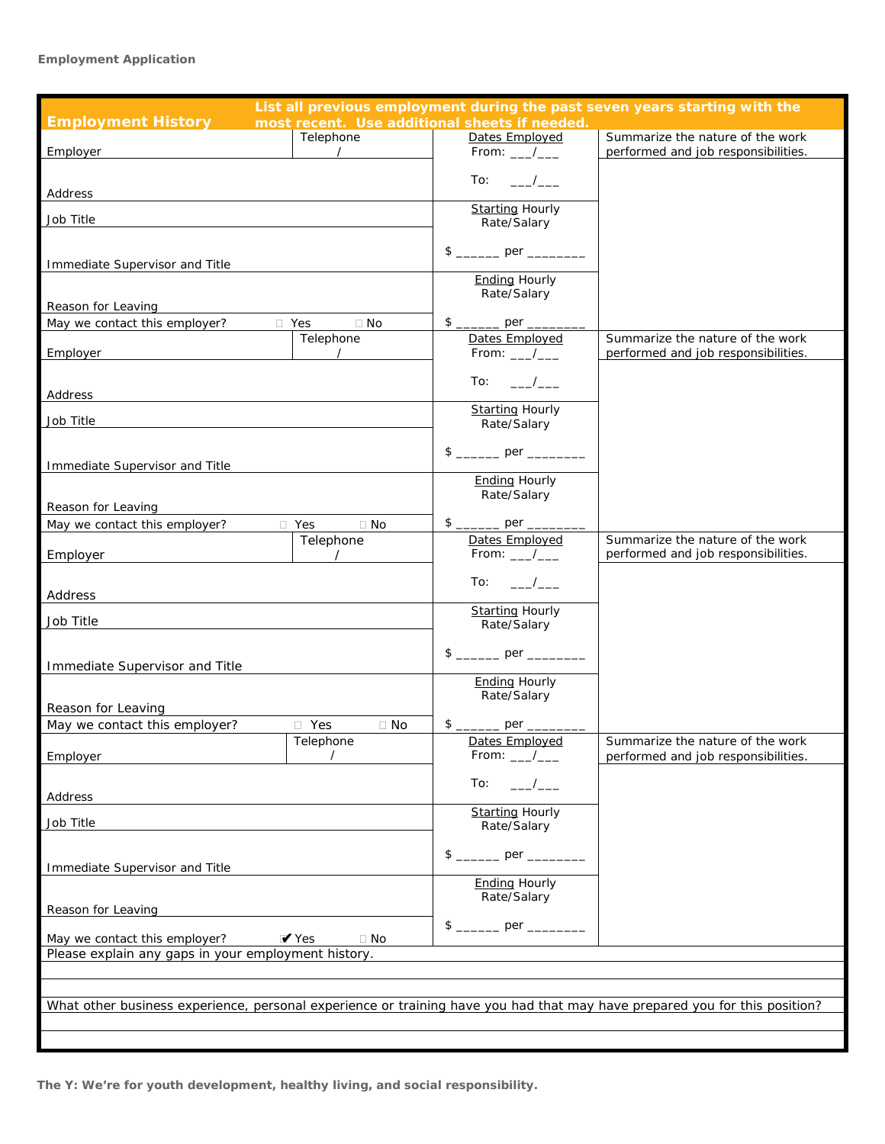### **Employment Application**

| List all previous employment during the past seven years starting with the                                                 |                          |                                               |                                     |  |  |  |
|----------------------------------------------------------------------------------------------------------------------------|--------------------------|-----------------------------------------------|-------------------------------------|--|--|--|
| <b>Employment History</b>                                                                                                  |                          | most recent. Use additional sheets if needed. |                                     |  |  |  |
|                                                                                                                            | Telephone                | Dates Employed                                | Summarize the nature of the work    |  |  |  |
| Employer                                                                                                                   | $\overline{\phantom{a}}$ | From: $\_\_\_\_\_\_\_\$                       | performed and job responsibilities. |  |  |  |
|                                                                                                                            |                          | To:<br>$\overline{\phantom{a}}$               |                                     |  |  |  |
| Address                                                                                                                    |                          |                                               |                                     |  |  |  |
| Job Title                                                                                                                  |                          | <b>Starting Hourly</b>                        |                                     |  |  |  |
|                                                                                                                            |                          | Rate/Salary                                   |                                     |  |  |  |
|                                                                                                                            |                          |                                               |                                     |  |  |  |
| Immediate Supervisor and Title                                                                                             |                          |                                               |                                     |  |  |  |
|                                                                                                                            |                          | <b>Ending Hourly</b><br>Rate/Salary           |                                     |  |  |  |
| Reason for Leaving                                                                                                         |                          |                                               |                                     |  |  |  |
| □ Yes<br>May we contact this employer?                                                                                     | $\Box$ No                |                                               |                                     |  |  |  |
|                                                                                                                            | Telephone                | Dates Employed                                | Summarize the nature of the work    |  |  |  |
| Employer                                                                                                                   | $\prime$                 | From: $\_\_\_\_\_\_\_\$                       | performed and job responsibilities. |  |  |  |
|                                                                                                                            |                          | To: $\frac{\ }{\ }$                           |                                     |  |  |  |
| Address                                                                                                                    |                          |                                               |                                     |  |  |  |
| Job Title                                                                                                                  |                          | <b>Starting Hourly</b>                        |                                     |  |  |  |
|                                                                                                                            |                          | Rate/Salary                                   |                                     |  |  |  |
|                                                                                                                            |                          |                                               |                                     |  |  |  |
| Immediate Supervisor and Title                                                                                             |                          |                                               |                                     |  |  |  |
|                                                                                                                            |                          | <b>Ending Hourly</b><br>Rate/Salary           |                                     |  |  |  |
| Reason for Leaving                                                                                                         |                          |                                               |                                     |  |  |  |
| May we contact this employer?                                                                                              | $\Box$ No<br>$\Box$ Yes  |                                               |                                     |  |  |  |
|                                                                                                                            | Telephone                | Dates Employed                                | Summarize the nature of the work    |  |  |  |
| Employer                                                                                                                   | $\overline{\phantom{a}}$ | From: $\_\_\_\_\_\_\$                         | performed and job responsibilities. |  |  |  |
|                                                                                                                            |                          | To:<br>$\overline{\phantom{a}}$               |                                     |  |  |  |
| Address                                                                                                                    |                          |                                               |                                     |  |  |  |
| Job Title                                                                                                                  |                          | <b>Starting Hourly</b><br>Rate/Salary         |                                     |  |  |  |
|                                                                                                                            |                          |                                               |                                     |  |  |  |
|                                                                                                                            |                          |                                               |                                     |  |  |  |
| Immediate Supervisor and Title                                                                                             |                          |                                               |                                     |  |  |  |
|                                                                                                                            |                          | <b>Ending Hourly</b><br>Rate/Salary           |                                     |  |  |  |
| Reason for Leaving                                                                                                         |                          |                                               |                                     |  |  |  |
| May we contact this employer?                                                                                              | $\Box$ Yes<br>$\Box$ No  |                                               |                                     |  |  |  |
|                                                                                                                            | Telephone<br>$\prime$    | Dates Employed                                | Summarize the nature of the work    |  |  |  |
| Employer                                                                                                                   |                          | From: $\_\_\_\_\_\_\$                         | performed and job responsibilities. |  |  |  |
|                                                                                                                            |                          | To:                                           |                                     |  |  |  |
| Address                                                                                                                    |                          |                                               |                                     |  |  |  |
| Job Title                                                                                                                  |                          | <b>Starting Hourly</b><br>Rate/Salary         |                                     |  |  |  |
|                                                                                                                            |                          |                                               |                                     |  |  |  |
|                                                                                                                            |                          |                                               |                                     |  |  |  |
| Immediate Supervisor and Title                                                                                             |                          | <b>Ending Hourly</b>                          |                                     |  |  |  |
|                                                                                                                            |                          | Rate/Salary                                   |                                     |  |  |  |
| Reason for Leaving                                                                                                         |                          |                                               |                                     |  |  |  |
| May we contact this employer?                                                                                              | $V$ Yes<br>$\Box$ No     |                                               |                                     |  |  |  |
| Please explain any gaps in your employment history.                                                                        |                          |                                               |                                     |  |  |  |
|                                                                                                                            |                          |                                               |                                     |  |  |  |
|                                                                                                                            |                          |                                               |                                     |  |  |  |
| What other business experience, personal experience or training have you had that may have prepared you for this position? |                          |                                               |                                     |  |  |  |
|                                                                                                                            |                          |                                               |                                     |  |  |  |
|                                                                                                                            |                          |                                               |                                     |  |  |  |